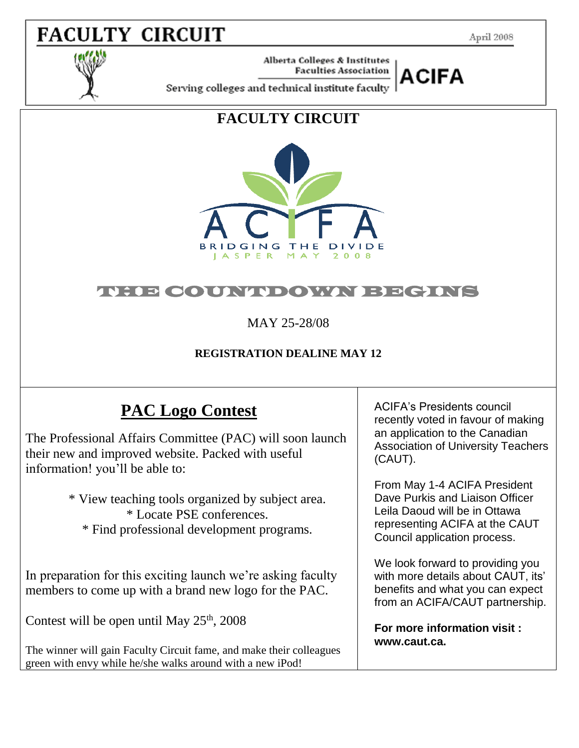# **FACULTY CIRCUIT**

April 2008



Alberta Colleges & Institutes **Faculties Association** 



Serving colleges and technical institute faculty

## **FACULTY CIRCUIT**



### THE COUNTDOWN BEGINS COUNTDOWN BEGINS COUNTDOWN BEGINS COUNTDOWN BEGINS COUNTDOWN

MAY 25-28/08

### **REGISTRATION DEALINE MAY 12**

## **PAC Logo Contest**

The Professional Affairs Committee (PAC) will soon launch their new and improved website. Packed with useful information! you'll be able to:

> \* View teaching tools organized by subject area. \* Locate PSE conferences. \* Find professional development programs.

In preparation for this exciting launch we're asking faculty members to come up with a brand new logo for the PAC.

Contest will be open until May  $25<sup>th</sup>$ , 2008

The winner will gain Faculty Circuit fame, and make their colleagues green with envy while he/she walks around with a new iPod!

ACIFA's Presidents council recently voted in favour of making an application to the Canadian Association of University Teachers (CAUT).

From May 1-4 ACIFA President Dave Purkis and Liaison Officer Leila Daoud will be in Ottawa representing ACIFA at the CAUT Council application process.

We look forward to providing you with more details about CAUT, its' benefits and what you can expect from an ACIFA/CAUT partnership.

**For more information visit : www.caut.ca.**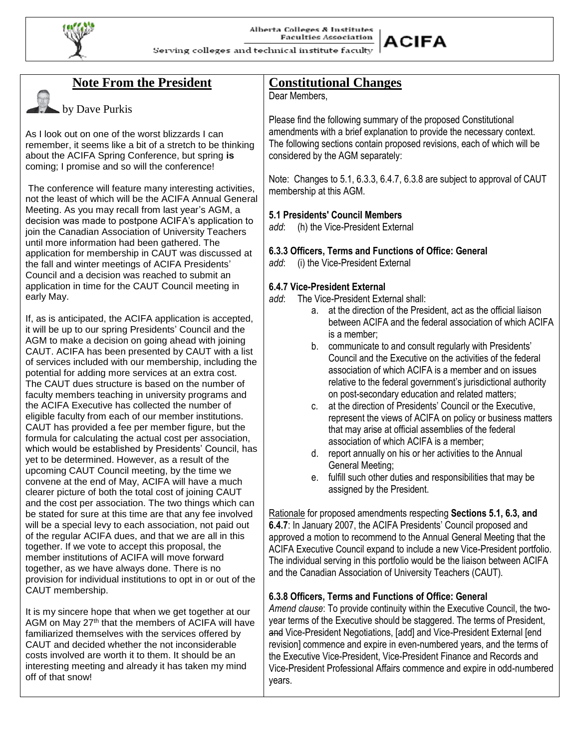$\overline{a}$ 

Serving colleges and technical institute faculty



#### **Note From the President** by Dave Purkis As I look out on one of the worst blizzards I can remember, it seems like a bit of a stretch to be thinking about the ACIFA Spring Conference, but spring **is**  coming; I promise and so will the conference! The conference will feature many interesting activities, not the least of which will be the ACIFA Annual General Meeting. As you may recall from last year's AGM, a decision was made to postpone ACIFA's application to join the Canadian Association of University Teachers until more information had been gathered. The application for membership in CAUT was discussed at the fall and winter meetings of ACIFA Presidents' Council and a decision was reached to submit an application in time for the CAUT Council meeting in early May. If, as is anticipated, the ACIFA application is accepted, it will be up to our spring Presidents' Council and the AGM to make a decision on going ahead with joining CAUT. ACIFA has been presented by CAUT with a list of services included with our membership, including the potential for adding more services at an extra cost. The CAUT dues structure is based on the number of faculty members teaching in university programs and **Constitutional Changes** Dear Members, Please find the following summary of the proposed Constitutional amendments with a brief explanation to provide the necessary context. The following sections contain proposed revisions, each of which will be considered by the AGM separately: Note: Changes to 5.1, 6.3.3, 6.4.7, 6.3.8 are subject to approval of CAUT membership at this AGM. **5.1 Presidents' Council Members** *add*: (h) the Vice-President External **6.3.3 Officers, Terms and Functions of Office: General** *add*: (i) the Vice-President External **6.4.7 Vice-President External** *add*: The Vice-President External shall: a. at the direction of the President, act as the official liaison between ACIFA and the federal association of which ACIFA is a member; b. communicate to and consult regularly with Presidents' Council and the Executive on the activities of the federal association of which ACIFA is a member and on issues relative to the federal government's jurisdictional authority on post-secondary education and related matters;

- c. at the direction of Presidents' Council or the Executive, represent the views of ACIFA on policy or business matters that may arise at official assemblies of the federal association of which ACIFA is a member;
- d. report annually on his or her activities to the Annual General Meeting;
- e. fulfill such other duties and responsibilities that may be assigned by the President.

Rationale for proposed amendments respecting **Sections 5.1, 6.3, and 6.4.7**: In January 2007, the ACIFA Presidents' Council proposed and approved a motion to recommend to the Annual General Meeting that the ACIFA Executive Council expand to include a new Vice-President portfolio. The individual serving in this portfolio would be the liaison between ACIFA and the Canadian Association of University Teachers (CAUT).

### **6.3.8 Officers, Terms and Functions of Office: General**

*Amend clause*: To provide continuity within the Executive Council, the twoyear terms of the Executive should be staggered. The terms of President, and Vice-President Negotiations, [add] and Vice-President External [end revision] commence and expire in even-numbered years, and the terms of the Executive Vice-President, Vice-President Finance and Records and Vice-President Professional Affairs commence and expire in odd-numbered years.

the ACIFA Executive has collected the number of eligible faculty from each of our member institutions. CAUT has provided a fee per member figure, but the formula for calculating the actual cost per association, which would be established by Presidents' Council, has yet to be determined. However, as a result of the upcoming CAUT Council meeting, by the time we convene at the end of May, ACIFA will have a much clearer picture of both the total cost of joining CAUT and the cost per association. The two things which can be stated for sure at this time are that any fee involved will be a special levy to each association, not paid out of the regular ACIFA dues, and that we are all in this together. If we vote to accept this proposal, the member institutions of ACIFA will move forward together, as we have always done. There is no provision for individual institutions to opt in or out of the CAUT membership.

It is my sincere hope that when we get together at our AGM on May 27<sup>th</sup> that the members of ACIFA will have familiarized themselves with the services offered by CAUT and decided whether the not inconsiderable costs involved are worth it to them. It should be an interesting meeting and already it has taken my mind off of that snow!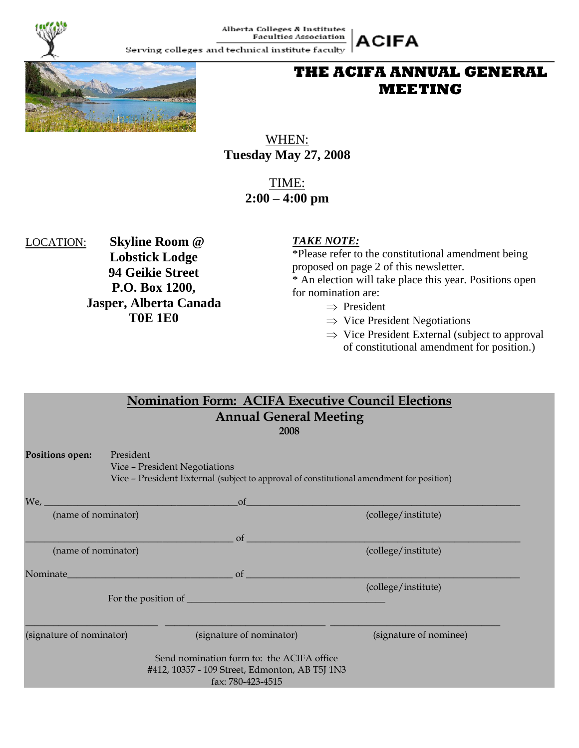**ACIFA** 



## **THE ACIFA ANNUAL GENERAL MEETING**

WHEN: **Tuesday May 27, 2008**

> TIME: **2:00 – 4:00 pm**

LOCATION: **Skyline Room @ Lobstick Lodge 94 Geikie Street P.O. Box 1200, Jasper, Alberta Canada T0E 1E0**

#### *TAKE NOTE:*

\*Please refer to the constitutional amendment being proposed on page 2 of this newsletter. \* An election will take place this year. Positions open for nomination are:

- $\Rightarrow$  President
- $\Rightarrow$  Vice President Negotiations
- $\Rightarrow$  Vice President External (subject to approval of constitutional amendment for position.)

## **Nomination Form: ACIFA Executive Council Elections Annual General Meeting**

**2008**

| <b>Positions open:</b>   | President<br>Vice - President Negotiations<br>Vice – President External (subject to approval of constitutional amendment for position)                                                                                         |                                                                                                                                                                                                                                                                                                                                   |
|--------------------------|--------------------------------------------------------------------------------------------------------------------------------------------------------------------------------------------------------------------------------|-----------------------------------------------------------------------------------------------------------------------------------------------------------------------------------------------------------------------------------------------------------------------------------------------------------------------------------|
|                          |                                                                                                                                                                                                                                |                                                                                                                                                                                                                                                                                                                                   |
| (name of nominator)      |                                                                                                                                                                                                                                | (college/institute)                                                                                                                                                                                                                                                                                                               |
|                          |                                                                                                                                                                                                                                | $\sigma$ of $\sigma$ and $\sigma$ and $\sigma$ and $\sigma$ and $\sigma$ and $\sigma$ and $\sigma$ and $\sigma$ and $\sigma$ and $\sigma$ and $\sigma$ and $\sigma$ and $\sigma$ and $\sigma$ and $\sigma$ and $\sigma$ and $\sigma$ and $\sigma$ and $\sigma$ and $\sigma$ and $\sigma$ and $\sigma$ and $\sigma$ and $\sigma$ a |
| (name of nominator)      |                                                                                                                                                                                                                                | (college/institute)                                                                                                                                                                                                                                                                                                               |
|                          | Nominate of the contract of the contract of the contract of the contract of the contract of the contract of the contract of the contract of the contract of the contract of the contract of the contract of the contract of th |                                                                                                                                                                                                                                                                                                                                   |
|                          |                                                                                                                                                                                                                                | (college/institute)                                                                                                                                                                                                                                                                                                               |
| (signature of nominator) | (signature of nominator)                                                                                                                                                                                                       | (signature of nominee)                                                                                                                                                                                                                                                                                                            |
|                          | Send nomination form to: the ACIFA office<br>#412, 10357 - 109 Street, Edmonton, AB T5J 1N3<br>fax: 780-423-4515                                                                                                               |                                                                                                                                                                                                                                                                                                                                   |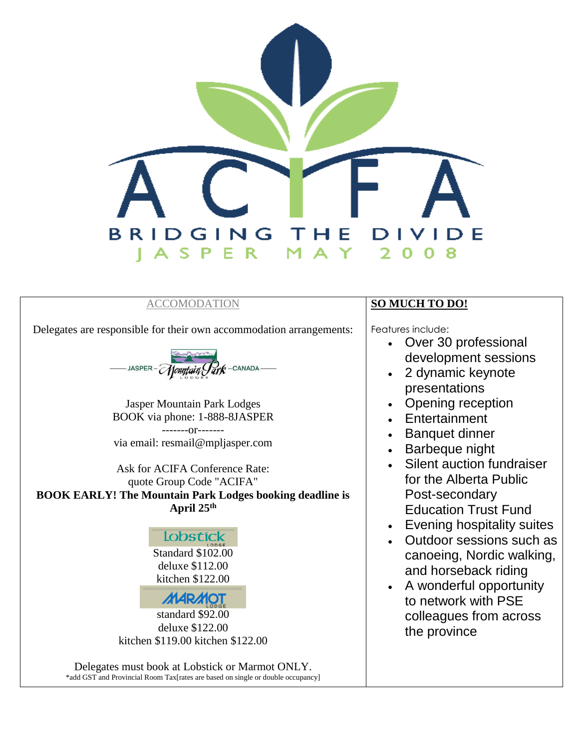

## ACCOMODATION

Delegates are responsible for their own accommodation arrangements:



Jasper Mountain Park Lodges BOOK via phone: 1-888-8JASPER -------or------ via email: resmail@mpljasper.com

Ask for ACIFA Conference Rate: quote Group Code "ACIFA" **BOOK EARLY! The Mountain Park Lodges booking deadline is April 25th**



MARMO

standard \$92.00 deluxe \$122.00 kitchen \$119.00 kitchen \$122.00

Delegates must book at Lobstick or Marmot ONLY. \*add GST and Provincial Room Tax[rates are based on single or double occupancy]

### **SO MUCH TO DO!**

Features include:

- Over 30 professional development sessions
- 2 dynamic keynote presentations
- Opening reception
- Entertainment
- Banquet dinner
- Barbeque night
- Silent auction fundraiser for the Alberta Public Post-secondary Education Trust Fund
- Evening hospitality suites
- Outdoor sessions such as canoeing, Nordic walking, and horseback riding
- A wonderful opportunity to network with PSE colleagues from across the province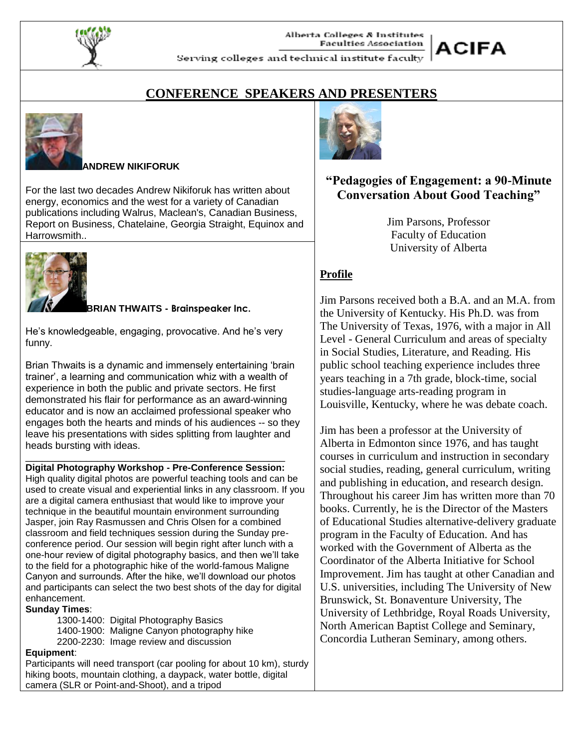

Alberta Colleges & Institutes **Faculties Association** 

**ACIFA** 

Serving colleges and technical institute faculty

### **CONFERENCE SPEAKERS AND PRESENTERS**



#### **ANDREW NIKIFORUK**

For the last two decades Andrew Nikiforuk has written about energy, economics and the west for a variety of Canadian publications including Walrus, Maclean's, Canadian Business, Report on Business, Chatelaine, Georgia Straight, Equinox and Harrowsmith..



#### **BRIAN THWAITS - Brainspeaker Inc.**

He's knowledgeable, engaging, provocative. And he's very funny.

Brian Thwaits is a dynamic and immensely entertaining 'brain trainer', a learning and communication whiz with a wealth of experience in both the public and private sectors. He first demonstrated his flair for performance as an award-winning educator and is now an acclaimed professional speaker who engages both the hearts and minds of his audiences -- so they leave his presentations with sides splitting from laughter and heads bursting with ideas.

#### \_\_\_\_\_\_\_\_\_\_\_\_\_\_\_\_\_\_\_\_\_\_\_\_\_\_\_\_\_\_\_\_\_\_\_\_\_\_\_\_\_\_\_\_\_\_\_ **Digital Photography Workshop - Pre-Conference Session:**

High quality digital photos are powerful teaching tools and can be used to create visual and experiential links in any classroom. If you are a digital camera enthusiast that would like to improve your technique in the beautiful mountain environment surrounding Jasper, join Ray Rasmussen and Chris Olsen for a combined classroom and field techniques session during the Sunday preconference period. Our session will begin right after lunch with a one-hour review of digital photography basics, and then we'll take to the field for a photographic hike of the world-famous Maligne Canyon and surrounds. After the hike, we'll download our photos and participants can select the two best shots of the day for digital enhancement.

#### **Sunday Times**:

 1300-1400: Digital Photography Basics 1400-1900: Maligne Canyon photography hike 2200-2230: Image review and discussion

#### **Equipment**:

Participants will need transport (car pooling for about 10 km), sturdy hiking boots, mountain clothing, a daypack, water bottle, digital camera (SLR or Point-and-Shoot), and a tripod



### **"Pedagogies of Engagement: a 90-Minute Conversation About Good Teaching"**

Jim Parsons, Professor Faculty of Education University of Alberta

#### **Profile**

Jim Parsons received both a B.A. and an M.A. from the University of Kentucky. His Ph.D. was from The University of Texas, 1976, with a major in All Level - General Curriculum and areas of specialty in Social Studies, Literature, and Reading. His public school teaching experience includes three years teaching in a 7th grade, block-time, social studies-language arts-reading program in Louisville, Kentucky, where he was debate coach.

Jim has been a professor at the University of Alberta in Edmonton since 1976, and has taught courses in curriculum and instruction in secondary social studies, reading, general curriculum, writing and publishing in education, and research design. Throughout his career Jim has written more than 70 books. Currently, he is the Director of the Masters of Educational Studies alternative-delivery graduate program in the Faculty of Education. And has worked with the Government of Alberta as the Coordinator of the Alberta Initiative for School Improvement. Jim has taught at other Canadian and U.S. universities, including The University of New Brunswick, St. Bonaventure University, The University of Lethbridge, Royal Roads University, North American Baptist College and Seminary, Concordia Lutheran Seminary, among others.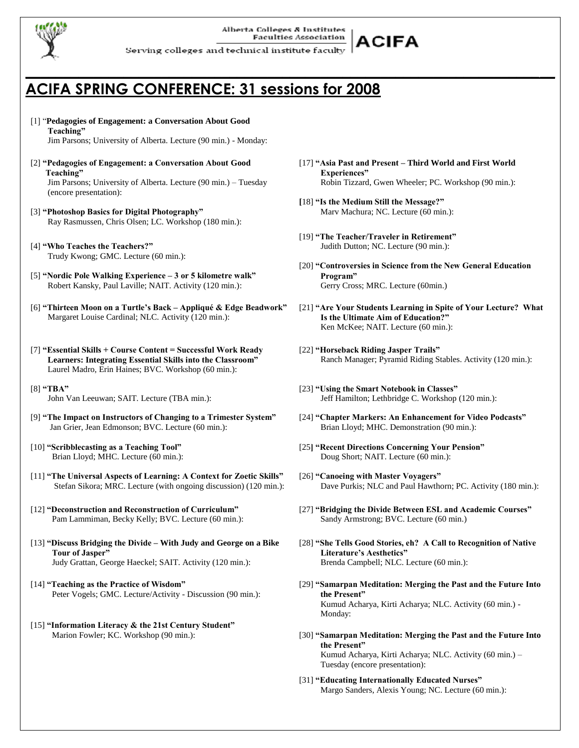

**\_\_\_\_\_\_\_\_\_\_\_\_\_\_\_\_\_\_\_\_\_\_\_\_\_\_\_\_\_\_\_\_\_\_\_\_\_\_\_\_\_\_\_\_\_\_\_\_\_\_\_\_\_\_\_\_\_\_\_\_\_\_\_\_\_\_\_\_\_\_ ACIFA SPRING CONFERENCE: 31 sessions for 2008**

[1] "**Pedagogies of Engagement: a Conversation About Good Teaching"**

Jim Parsons; University of Alberta. Lecture (90 min.) - Monday:

[2] **"Pedagogies of Engagement: a Conversation About Good Teaching"** Jim Parsons; University of Alberta. Lecture (90 min.) – Tuesday

(encore presentation):

- [3] **"Photoshop Basics for Digital Photography"** Ray Rasmussen, Chris Olsen; LC. Workshop (180 min.):
- [4] **"Who Teaches the Teachers?"** Trudy Kwong; GMC. Lecture (60 min.):
- [5] **"Nordic Pole Walking Experience – 3 or 5 kilometre walk"** Robert Kansky, Paul Laville; NAIT. Activity (120 min.):
- [6] **"Thirteen Moon on a Turtle's Back – Appliqué & Edge Beadwork"** Margaret Louise Cardinal; NLC. Activity (120 min.):
- [7] **"Essential Skills + Course Content = Successful Work Ready Learners: Integrating Essential Skills into the Classroom"** Laurel Madro, Erin Haines; BVC. Workshop (60 min.):
- [8] **"TBA"** John Van Leeuwan; SAIT. Lecture (TBA min.):
- [9] **"The Impact on Instructors of Changing to a Trimester System"** Jan Grier, Jean Edmonson; BVC. Lecture (60 min.):
- [10] **"Scribblecasting as a Teaching Tool"** Brian Lloyd; MHC. Lecture (60 min.):
- [11] **"The Universal Aspects of Learning: A Context for Zoetic Skills"** Stefan Sikora; MRC. Lecture (with ongoing discussion) (120 min.):
- [12] **"Deconstruction and Reconstruction of Curriculum"** Pam Lammiman, Becky Kelly; BVC. Lecture (60 min.):
- [13] **"Discuss Bridging the Divide – With Judy and George on a Bike Tour of Jasper"** Judy Grattan, George Haeckel; SAIT. Activity (120 min.):
- [14] **"Teaching as the Practice of Wisdom"** Peter Vogels; GMC. Lecture/Activity - Discussion (90 min.):
- [15] **"Information Literacy & the 21st Century Student"**

[17] **"Asia Past and Present – Third World and First World Experiences"** Robin Tizzard, Gwen Wheeler; PC. Workshop (90 min.):

ACIFA

- **[**18] **"Is the Medium Still the Message?"** Marv Machura; NC. Lecture (60 min.):
- [19] **"The Teacher/Traveler in Retirement"** Judith Dutton; NC. Lecture (90 min.):
- [20] **"Controversies in Science from the New General Education Program"** Gerry Cross; MRC. Lecture (60min.)
- [21] **"Are Your Students Learning in Spite of Your Lecture? What Is the Ultimate Aim of Education?"** Ken McKee; NAIT. Lecture (60 min.):
- [22] **"Horseback Riding Jasper Trails"** Ranch Manager; Pyramid Riding Stables. Activity (120 min.):
- [23] **"Using the Smart Notebook in Classes"** Jeff Hamilton; Lethbridge C. Workshop (120 min.):
- [24] **"Chapter Markers: An Enhancement for Video Podcasts"** Brian Lloyd; MHC. Demonstration (90 min.):
- [25**] "Recent Directions Concerning Your Pension"** Doug Short; NAIT. Lecture (60 min.):
- [26] **"Canoeing with Master Voyagers"** Dave Purkis; NLC and Paul Hawthorn; PC. Activity (180 min.):
- [27] **"Bridging the Divide Between ESL and Academic Courses"** Sandy Armstrong; BVC. Lecture (60 min.)
- [28] **"She Tells Good Stories, eh? A Call to Recognition of Native Literature's Aesthetics"** Brenda Campbell; NLC. Lecture (60 min.):
- [29] **"Samarpan Meditation: Merging the Past and the Future Into the Present"** Kumud Acharya, Kirti Acharya; NLC. Activity (60 min.) - Monday:
- Marion Fowler; KC. Workshop (90 min.): [30] **"Samarpan Meditation: Merging the Past and the Future Into the Present"** Kumud Acharya, Kirti Acharya; NLC. Activity (60 min.) – Tuesday (encore presentation):
	- [31] **"Educating Internationally Educated Nurses"** Margo Sanders, Alexis Young; NC. Lecture (60 min.):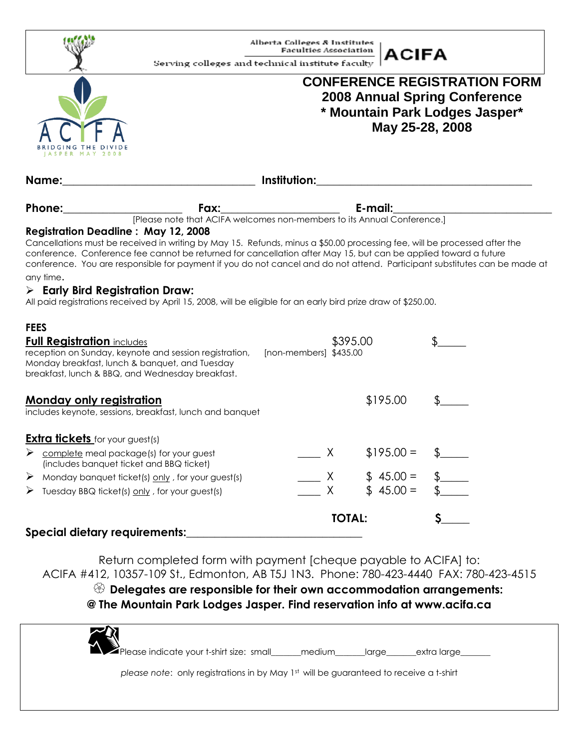| IN G<br>MAY                                                                                                                                                                                                                                                                                                                                                                                                                      |                                                                                                                 | <b>Faculties Association</b><br>ACIFA<br>Serving colleges and technical institute faculty<br><b>CONFERENCE REGISTRATION FORM</b><br><b>2008 Annual Spring Conference</b><br>* Mountain Park Lodges Jasper*<br>May 25-28, 2008 |                           |  |  |  |  |
|----------------------------------------------------------------------------------------------------------------------------------------------------------------------------------------------------------------------------------------------------------------------------------------------------------------------------------------------------------------------------------------------------------------------------------|-----------------------------------------------------------------------------------------------------------------|-------------------------------------------------------------------------------------------------------------------------------------------------------------------------------------------------------------------------------|---------------------------|--|--|--|--|
| Name:                                                                                                                                                                                                                                                                                                                                                                                                                            | Institution:                                                                                                    |                                                                                                                                                                                                                               |                           |  |  |  |  |
| Phone:                                                                                                                                                                                                                                                                                                                                                                                                                           | Fax:                                                                                                            |                                                                                                                                                                                                                               |                           |  |  |  |  |
| conference. You are responsible for payment if you do not cancel and do not attend. Participant substitutes can be made at<br>any time.<br>$\triangleright$ Early Bird Registration Draw:                                                                                                                                                                                                                                        | conference. Conference fee cannot be returned for cancellation after May 15, but can be applied toward a future |                                                                                                                                                                                                                               |                           |  |  |  |  |
|                                                                                                                                                                                                                                                                                                                                                                                                                                  |                                                                                                                 | [non-members] \$435.00                                                                                                                                                                                                        | \$395.00                  |  |  |  |  |
| All paid registrations received by April 15, 2008, will be eligible for an early bird prize draw of \$250.00.<br><b>FEES</b><br><b>Full Registration includes</b><br>reception on Sunday, keynote and session registration,<br>Monday breakfast, lunch & banquet, and Tuesday<br>breakfast, lunch & BBQ, and Wednesday breakfast.<br><u>Monday only registration</u><br>includes keynote, sessions, breakfast, lunch and banquet |                                                                                                                 |                                                                                                                                                                                                                               | \$195.00                  |  |  |  |  |
|                                                                                                                                                                                                                                                                                                                                                                                                                                  |                                                                                                                 |                                                                                                                                                                                                                               |                           |  |  |  |  |
| <b>Extra tickets</b> for your guest(s)<br>$\triangleright$ complete meal package(s) for your guest                                                                                                                                                                                                                                                                                                                               |                                                                                                                 | χ                                                                                                                                                                                                                             | $$195.00 =$               |  |  |  |  |
| (includes banquet ticket and BBQ ticket)<br>$\triangleright$ Monday banquet ticket(s) only, for your guest(s)                                                                                                                                                                                                                                                                                                                    |                                                                                                                 | X                                                                                                                                                                                                                             |                           |  |  |  |  |
| $\triangleright$ Tuesday BBQ ticket(s) only, for your guest(s)                                                                                                                                                                                                                                                                                                                                                                   |                                                                                                                 | X                                                                                                                                                                                                                             | $$ 45.00 =$<br>$$45.00 =$ |  |  |  |  |

 **Delegates are responsible for their own accommodation arrangements: @ The Mountain Park Lodges Jasper. Find reservation info at www.acifa.ca**

|  | Please indicate your t-shirt size: small______medium___                               |  | large | extra large |  |
|--|---------------------------------------------------------------------------------------|--|-------|-------------|--|
|  | please note: only registrations in by May 1st will be guaranteed to receive a t-shirt |  |       |             |  |